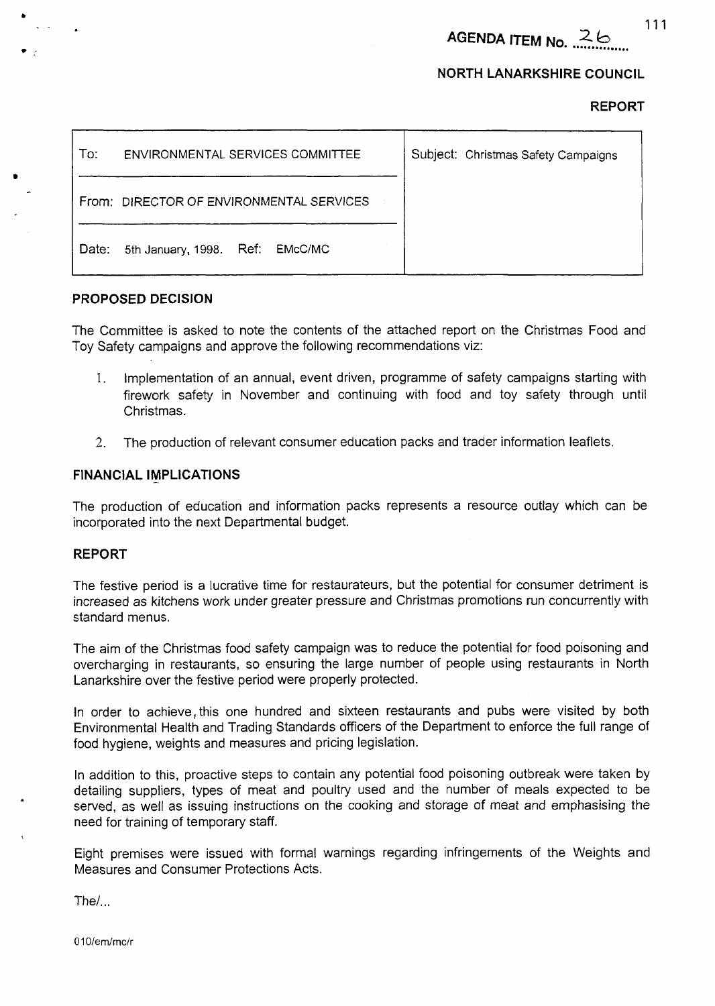**AGENDA ITEM NO.** スト

# **NORTH LANARKSHIRE COUNCIL**

## **REPORT**

| To:<br>ENVIRONMENTAL SERVICES COMMITTEE  | Subject: Christmas Safety Campaigns |
|------------------------------------------|-------------------------------------|
| From: DIRECTOR OF ENVIRONMENTAL SERVICES |                                     |
| 5th January, 1998. Ref: EMcC/MC<br>Date: |                                     |

### PROPOSED DECISION

The Committee is asked to note the contents of the attached report on the Christmas Food and Toy Safety campaigns and approve the following recommendations viz:

- 1. Implementation of an annual, event driven, programme of safety campaigns starting with firework safety in November and continuing with food and toy safety through until Christmas.
- 2. The production of relevant consumer education packs and trader information leaflets.

### **FINANCIAL IMPLICATIONS** -

The production of education and information packs represents a resource outlay which can be incorporated into the next Departmental budget.

### **REPORT**

The festive period is a lucrative time for restaurateurs, but the potential for consumer detriment is increased as kitchens work under greater pressure and Christmas promotions run concurrently with standard menus.

The aim of the Christmas food safety campaign was to reduce the potential for food poisoning and overcharging in restaurants, so ensuring the large number of people using restaurants in North Lanarkshire over the festive period were properly protected.

In order to achieve, this one hundred and sixteen restaurants and pubs were visited by both Environmental Health and Trading Standards officers of the Department to enforce the full range of food hygiene, weights and measures and pricing legislation.

In addition to this, proactive steps to contain any potential food poisoning outbreak were taken by detailing suppliers, types of meat and poultry used and the number of meals expected to be served, as well as issuing instructions on the cooking and storage of meat and emphasising the need for training of temporary staff.

Eight premises were issued with formal warnings regarding infringements of the Weights and Measures and Consumer Protections Acts.

 $The  $l$$ 

0 1 *Olernlmcir*